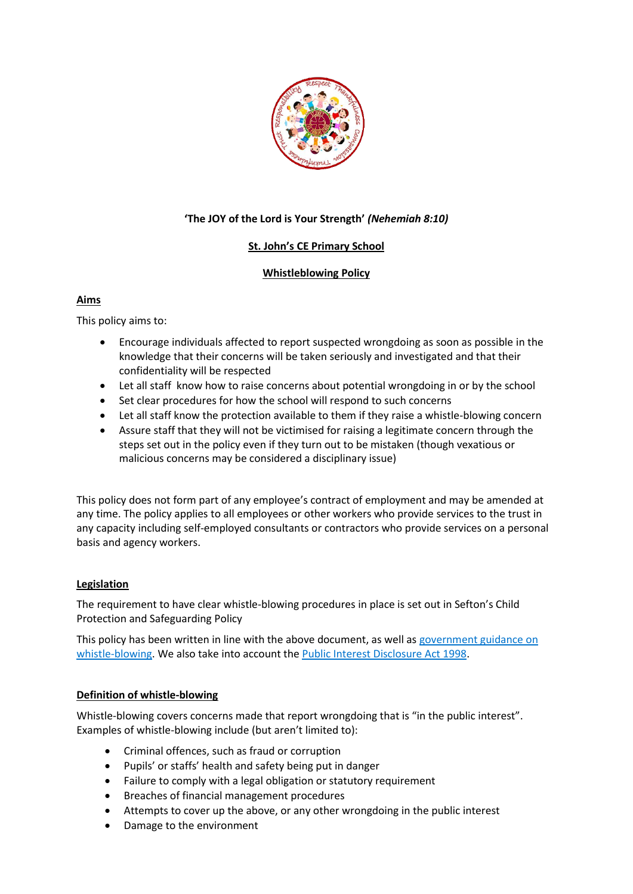

# **'The JOY of the Lord is Your Strength'** *(Nehemiah 8:10)*

# **St. John's CE Primary School**

# **Whistleblowing Policy**

### **Aims**

This policy aims to:

- Encourage individuals affected to report suspected wrongdoing as soon as possible in the knowledge that their concerns will be taken seriously and investigated and that their confidentiality will be respected
- Let all staff know how to raise concerns about potential wrongdoing in or by the school
- Set clear procedures for how the school will respond to such concerns
- Let all staff know the protection available to them if they raise a whistle-blowing concern
- Assure staff that they will not be victimised for raising a legitimate concern through the steps set out in the policy even if they turn out to be mistaken (though vexatious or malicious concerns may be considered a disciplinary issue)

This policy does not form part of any employee's contract of employment and may be amended at any time. The policy applies to all employees or other workers who provide services to the trust in any capacity including self-employed consultants or contractors who provide services on a personal basis and agency workers.

# **Legislation**

The requirement to have clear whistle-blowing procedures in place is set out in Sefton's Child Protection and Safeguarding Policy

This policy has been written in line with the above document, as well as government guidance on [whistle-blowing.](https://www.gov.uk/whistleblowing) We also take into account the [Public Interest Disclosure Act 1998.](https://www.legislation.gov.uk/ukpga/1998/23/contents)

#### **Definition of whistle-blowing**

Whistle-blowing covers concerns made that report wrongdoing that is "in the public interest". Examples of whistle-blowing include (but aren't limited to):

- Criminal offences, such as fraud or corruption
- Pupils' or staffs' health and safety being put in danger
- Failure to comply with a legal obligation or statutory requirement
- Breaches of financial management procedures
- Attempts to cover up the above, or any other wrongdoing in the public interest
- Damage to the environment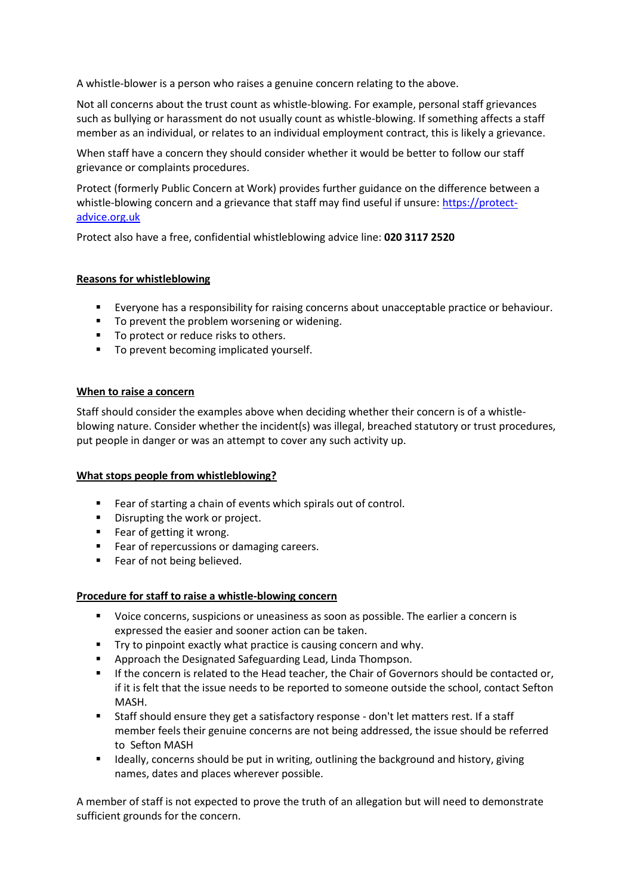A whistle-blower is a person who raises a genuine concern relating to the above.

Not all concerns about the trust count as whistle-blowing. For example, personal staff grievances such as bullying or harassment do not usually count as whistle-blowing. If something affects a staff member as an individual, or relates to an individual employment contract, this is likely a grievance.

When staff have a concern they should consider whether it would be better to follow our staff grievance or complaints procedures.

Protect (formerly Public Concern at Work) provides further guidance on the difference between a whistle-blowing concern and a grievance that staff may find useful if unsure: [https://protect](https://protect-advice.org.uk/)[advice.org.uk](https://protect-advice.org.uk/)

Protect also have a free, confidential whistleblowing advice line: **020 3117 2520**

### **Reasons for whistleblowing**

- Everyone has a responsibility for raising concerns about unacceptable practice or behaviour.
- To prevent the problem worsening or widening.
- To protect or reduce risks to others.
- **To prevent becoming implicated yourself.**

#### **When to raise a concern**

Staff should consider the examples above when deciding whether their concern is of a whistleblowing nature. Consider whether the incident(s) was illegal, breached statutory or trust procedures, put people in danger or was an attempt to cover any such activity up.

#### **What stops people from whistleblowing?**

- Fear of starting a chain of events which spirals out of control.
- **Disrupting the work or project.**
- Fear of getting it wrong.
- **Fear of repercussions or damaging careers.**
- **Fear of not being believed.**

#### **Procedure for staff to raise a whistle-blowing concern**

- Voice concerns, suspicions or uneasiness as soon as possible. The earlier a concern is expressed the easier and sooner action can be taken.
- **Try to pinpoint exactly what practice is causing concern and why.**
- Approach the Designated Safeguarding Lead, Linda Thompson.
- **If the concern is related to the Head teacher, the Chair of Governors should be contacted or,** if it is felt that the issue needs to be reported to someone outside the school, contact Sefton MASH.
- Staff should ensure they get a satisfactory response don't let matters rest. If a staff member feels their genuine concerns are not being addressed, the issue should be referred to Sefton MASH
- **IDEALLY** Ideally, concerns should be put in writing, outlining the background and history, giving names, dates and places wherever possible.

A member of staff is not expected to prove the truth of an allegation but will need to demonstrate sufficient grounds for the concern.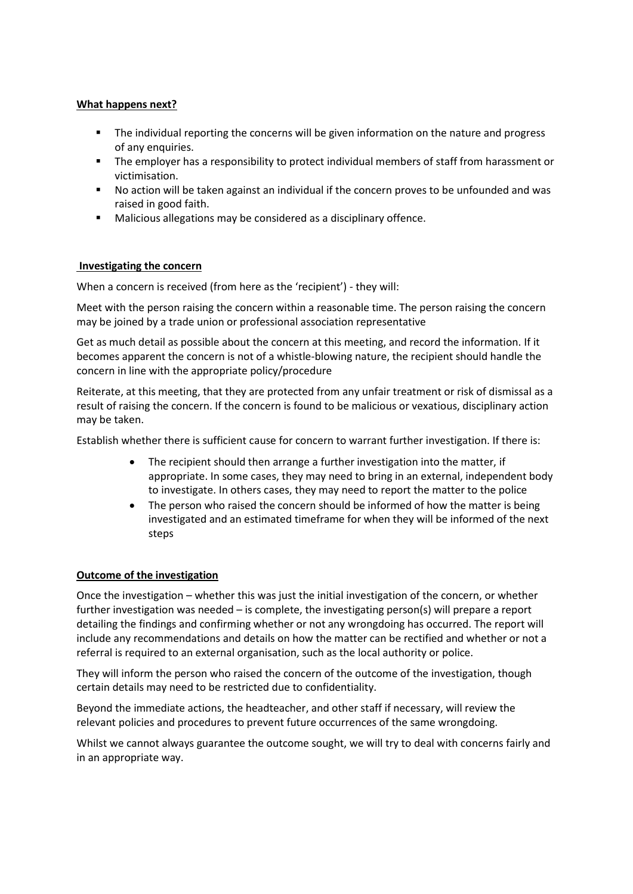### **What happens next?**

- **The individual reporting the concerns will be given information on the nature and progress** of any enquiries.
- The employer has a responsibility to protect individual members of staff from harassment or victimisation.
- No action will be taken against an individual if the concern proves to be unfounded and was raised in good faith.
- Malicious allegations may be considered as a disciplinary offence.

### **Investigating the concern**

When a concern is received (from here as the 'recipient') - they will:

Meet with the person raising the concern within a reasonable time. The person raising the concern may be joined by a trade union or professional association representative

Get as much detail as possible about the concern at this meeting, and record the information. If it becomes apparent the concern is not of a whistle-blowing nature, the recipient should handle the concern in line with the appropriate policy/procedure

Reiterate, at this meeting, that they are protected from any unfair treatment or risk of dismissal as a result of raising the concern. If the concern is found to be malicious or vexatious, disciplinary action may be taken.

Establish whether there is sufficient cause for concern to warrant further investigation. If there is:

- The recipient should then arrange a further investigation into the matter, if appropriate. In some cases, they may need to bring in an external, independent body to investigate. In others cases, they may need to report the matter to the police
- The person who raised the concern should be informed of how the matter is being investigated and an estimated timeframe for when they will be informed of the next steps

# **Outcome of the investigation**

Once the investigation – whether this was just the initial investigation of the concern, or whether further investigation was needed – is complete, the investigating person(s) will prepare a report detailing the findings and confirming whether or not any wrongdoing has occurred. The report will include any recommendations and details on how the matter can be rectified and whether or not a referral is required to an external organisation, such as the local authority or police.

They will inform the person who raised the concern of the outcome of the investigation, though certain details may need to be restricted due to confidentiality.

Beyond the immediate actions, the headteacher, and other staff if necessary, will review the relevant policies and procedures to prevent future occurrences of the same wrongdoing.

Whilst we cannot always guarantee the outcome sought, we will try to deal with concerns fairly and in an appropriate way.